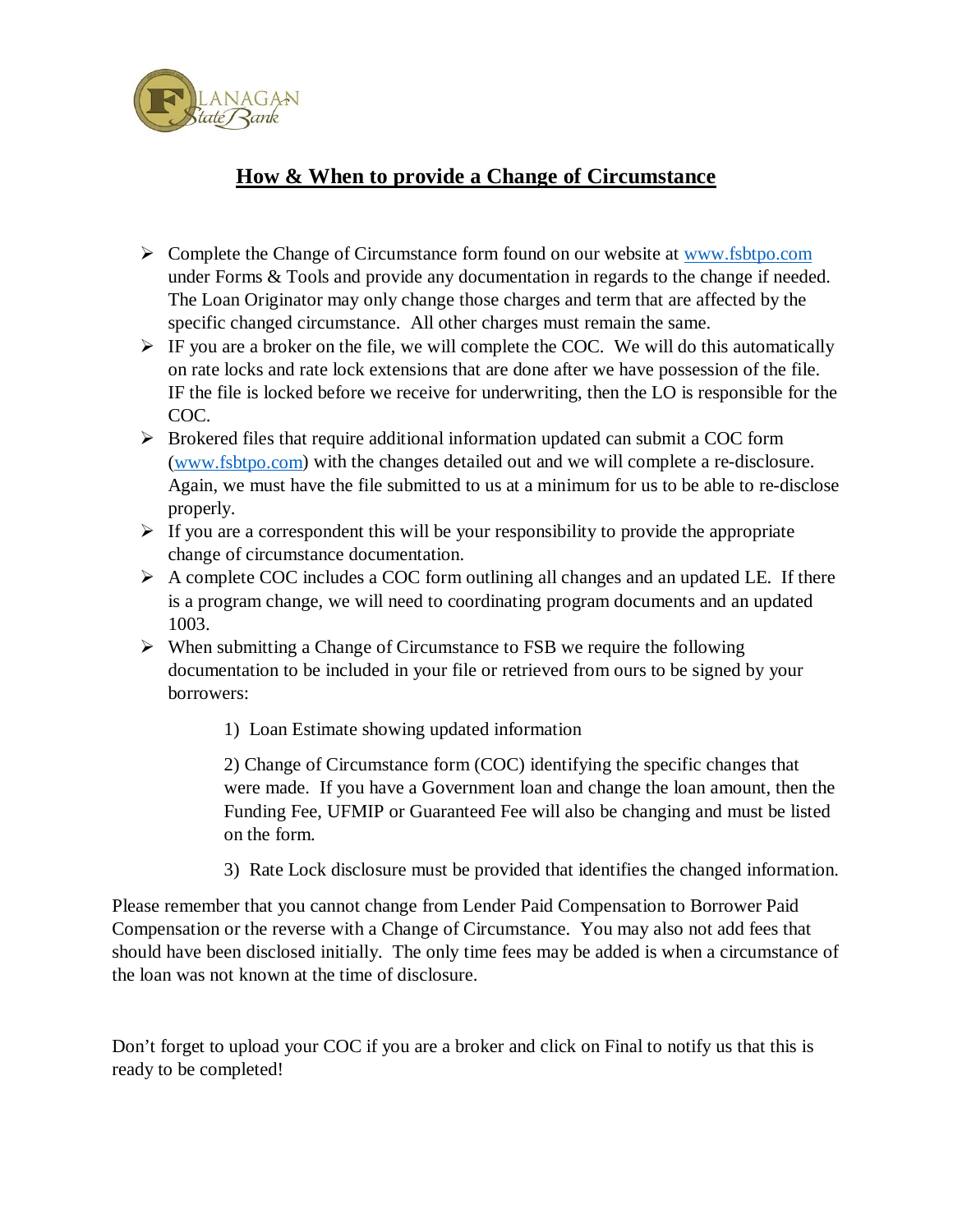

## **How & When to provide a Change of Circumstance**

- $\triangleright$  Complete the Change of Circumstance form found on our website at [www.fsbtpo.com](http://www.fsbtpo.com/) under Forms & Tools and provide any documentation in regards to the change if needed. The Loan Originator may only change those charges and term that are affected by the specific changed circumstance. All other charges must remain the same.
- $\triangleright$  IF you are a broker on the file, we will complete the COC. We will do this automatically on rate locks and rate lock extensions that are done after we have possession of the file. IF the file is locked before we receive for underwriting, then the LO is responsible for the COC.
- $\triangleright$  Brokered files that require additional information updated can submit a COC form [\(www.fsbtpo.com\)](http://www.fsbtpo.com/) with the changes detailed out and we will complete a re-disclosure. Again, we must have the file submitted to us at a minimum for us to be able to re-disclose properly.
- $\triangleright$  If you are a correspondent this will be your responsibility to provide the appropriate change of circumstance documentation.
- $\triangleright$  A complete COC includes a COC form outlining all changes and an updated LE. If there is a program change, we will need to coordinating program documents and an updated 1003.
- $\triangleright$  When submitting a Change of Circumstance to FSB we require the following documentation to be included in your file or retrieved from ours to be signed by your borrowers:
	- 1) Loan Estimate showing updated information

2) Change of Circumstance form (COC) identifying the specific changes that were made. If you have a Government loan and change the loan amount, then the Funding Fee, UFMIP or Guaranteed Fee will also be changing and must be listed on the form.

3) Rate Lock disclosure must be provided that identifies the changed information.

Please remember that you cannot change from Lender Paid Compensation to Borrower Paid Compensation or the reverse with a Change of Circumstance. You may also not add fees that should have been disclosed initially. The only time fees may be added is when a circumstance of the loan was not known at the time of disclosure.

Don't forget to upload your COC if you are a broker and click on Final to notify us that this is ready to be completed!